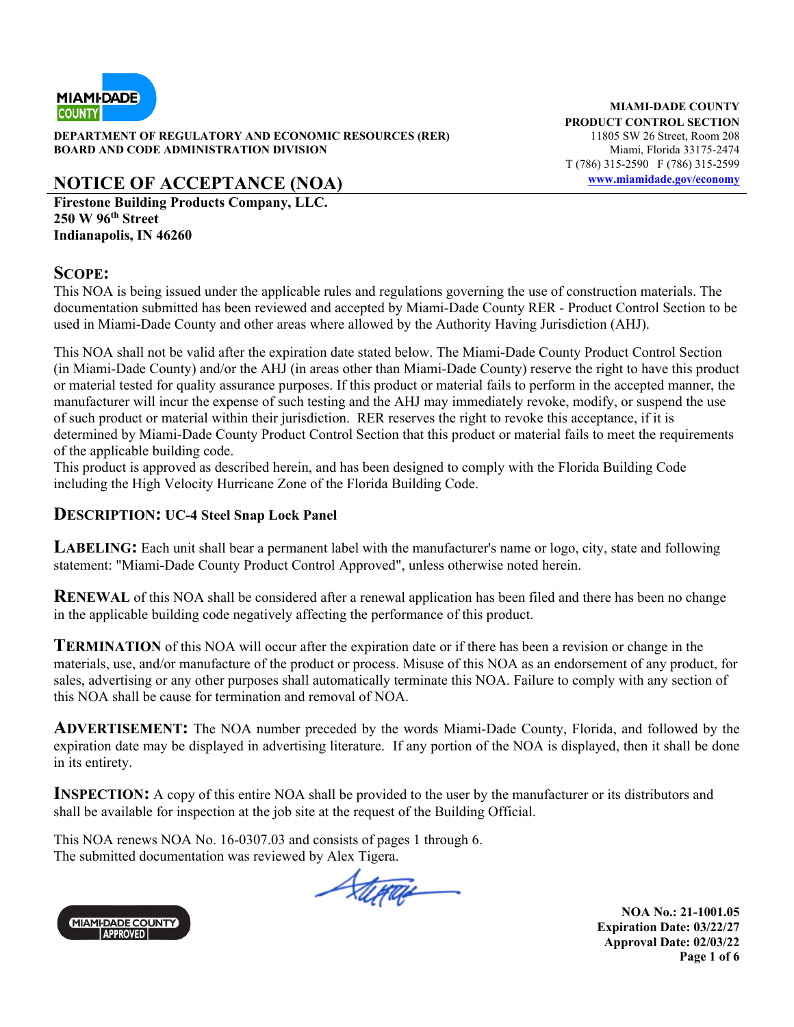

**DEPARTMENT OF REGULATORY AND ECONOMIC RESOURCES (RER)** 11805 SW 26 Street, Room 208 **BOARD AND CODE ADMINISTRATION DIVISION Miami, Florida 33175-2474** 

# **NOTICE OF ACCEPTANCE (NOA) www.miamidade.gov/economy**

**Firestone Building Products Company, LLC. 250 W 96th Street Indianapolis, IN 46260**

#### **SCOPE:**

This NOA is being issued under the applicable rules and regulations governing the use of construction materials. The documentation submitted has been reviewed and accepted by Miami-Dade County RER - Product Control Section to be used in Miami-Dade County and other areas where allowed by the Authority Having Jurisdiction (AHJ).

This NOA shall not be valid after the expiration date stated below. The Miami-Dade County Product Control Section (in Miami-Dade County) and/or the AHJ (in areas other than Miami-Dade County) reserve the right to have this product or material tested for quality assurance purposes. If this product or material fails to perform in the accepted manner, the manufacturer will incur the expense of such testing and the AHJ may immediately revoke, modify, or suspend the use of such product or material within their jurisdiction. RER reserves the right to revoke this acceptance, if it is determined by Miami-Dade County Product Control Section that this product or material fails to meet the requirements of the applicable building code.

This product is approved as described herein, and has been designed to comply with the Florida Building Code including the High Velocity Hurricane Zone of the Florida Building Code.

#### **DESCRIPTION: UC-4 Steel Snap Lock Panel**

**LABELING:** Each unit shall bear a permanent label with the manufacturer's name or logo, city, state and following statement: "Miami-Dade County Product Control Approved", unless otherwise noted herein.

**RENEWAL** of this NOA shall be considered after a renewal application has been filed and there has been no change in the applicable building code negatively affecting the performance of this product.

**TERMINATION** of this NOA will occur after the expiration date or if there has been a revision or change in the materials, use, and/or manufacture of the product or process. Misuse of this NOA as an endorsement of any product, for sales, advertising or any other purposes shall automatically terminate this NOA. Failure to comply with any section of this NOA shall be cause for termination and removal of NOA.

**ADVERTISEMENT:** The NOA number preceded by the words Miami-Dade County, Florida, and followed by the expiration date may be displayed in advertising literature. If any portion of the NOA is displayed, then it shall be done in its entirety.

**INSPECTION:** A copy of this entire NOA shall be provided to the user by the manufacturer or its distributors and shall be available for inspection at the job site at the request of the Building Official.

This NOA renews NOA No. 16-0307.03 and consists of pages 1 through 6. The submitted documentation was reviewed by Alex Tigera.



thrace

**NOA No.: 21-1001.05 Expiration Date: 03/22/27 Approval Date: 02/03/22 Page 1 of 6** 

**MIAMI-DADE COUNTY PRODUCT CONTROL SECTION**  T (786) 315-2590 F (786) 315-2599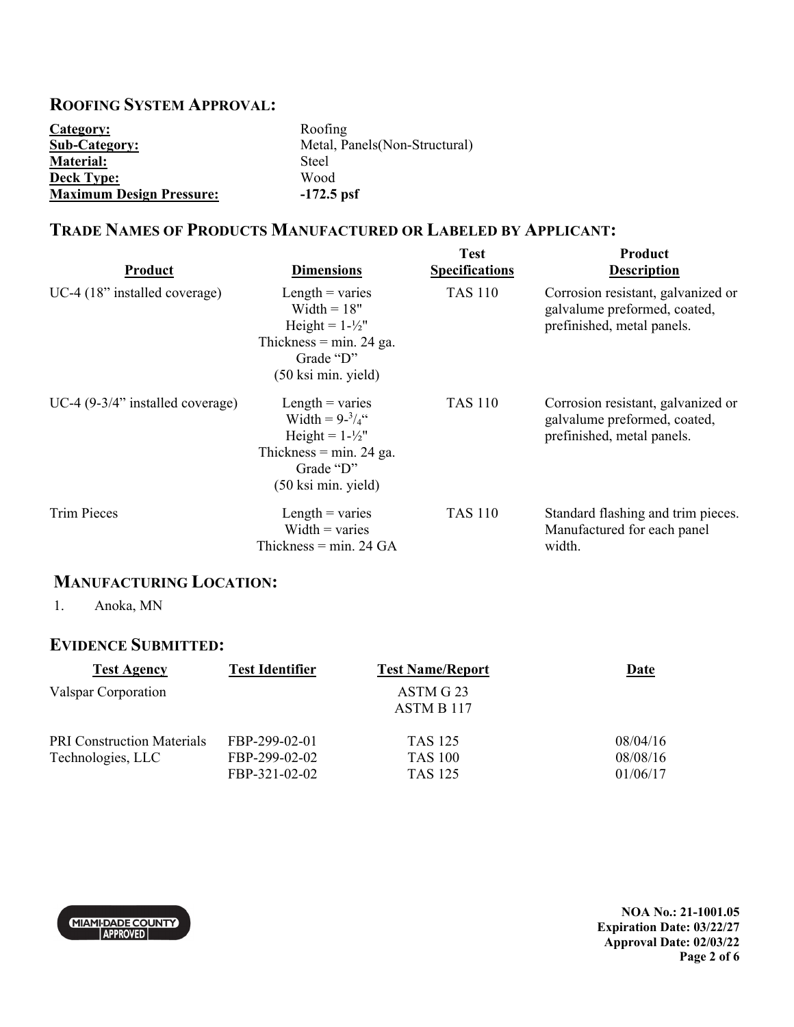### **ROOFING SYSTEM APPROVAL:**

| Category:                       | Roofing                       |
|---------------------------------|-------------------------------|
| <b>Sub-Category:</b>            | Metal, Panels(Non-Structural) |
| <b>Material:</b>                | Steel                         |
| <b>Deck Type:</b>               | Wood                          |
| <b>Maximum Design Pressure:</b> | $-172.5$ psf                  |

### **TRADE NAMES OF PRODUCTS MANUFACTURED OR LABELED BY APPLICANT:**

| Product                              | <b>Dimensions</b>                                                                                                                               | <b>Test</b><br><b>Specifications</b> | <b>Product</b><br><b>Description</b>                                                             |
|--------------------------------------|-------------------------------------------------------------------------------------------------------------------------------------------------|--------------------------------------|--------------------------------------------------------------------------------------------------|
| UC-4 $(18$ " installed coverage)     | Length $=$ varies<br>Width $= 18"$<br>Height = $1-\frac{1}{2}$ "<br>Thickness = $min. 24$ ga.<br>Grade "D"<br>(50 ksi min. yield)               | <b>TAS 110</b>                       | Corrosion resistant, galvanized or<br>galvalume preformed, coated,<br>prefinished, metal panels. |
| UC-4 $(9-3/4)$ " installed coverage) | Length $=$ varies<br>Width = $9 - \frac{3}{4}$ "<br>Height = $1-\frac{1}{2}$ "<br>Thickness = $min. 24$ ga.<br>Grade "D"<br>(50 ksi min. yield) | <b>TAS 110</b>                       | Corrosion resistant, galvanized or<br>galvalume preformed, coated,<br>prefinished, metal panels. |
| <b>Trim Pieces</b>                   | Length $=$ varies<br>Width $=$ varies<br>Thickness = $min. 24$ GA                                                                               | <b>TAS 110</b>                       | Standard flashing and trim pieces.<br>Manufactured for each panel<br>width.                      |

## **MANUFACTURING LOCATION:**

1. Anoka, MN

### **EVIDENCE SUBMITTED:**

| <b>Test Agency</b>                                     | <b>Test Identifier</b>                          | <b>Test Name/Report</b>                     | Date                             |
|--------------------------------------------------------|-------------------------------------------------|---------------------------------------------|----------------------------------|
| Valspar Corporation                                    |                                                 | ASTM G 23<br>ASTM B 117                     |                                  |
| <b>PRI</b> Construction Materials<br>Technologies, LLC | FBP-299-02-01<br>FBP-299-02-02<br>FBP-321-02-02 | <b>TAS 125</b><br><b>TAS 100</b><br>TAS 125 | 08/04/16<br>08/08/16<br>01/06/17 |



**NOA No.: 21-1001.05 Expiration Date: 03/22/27 Approval Date: 02/03/22 Page 2 of 6**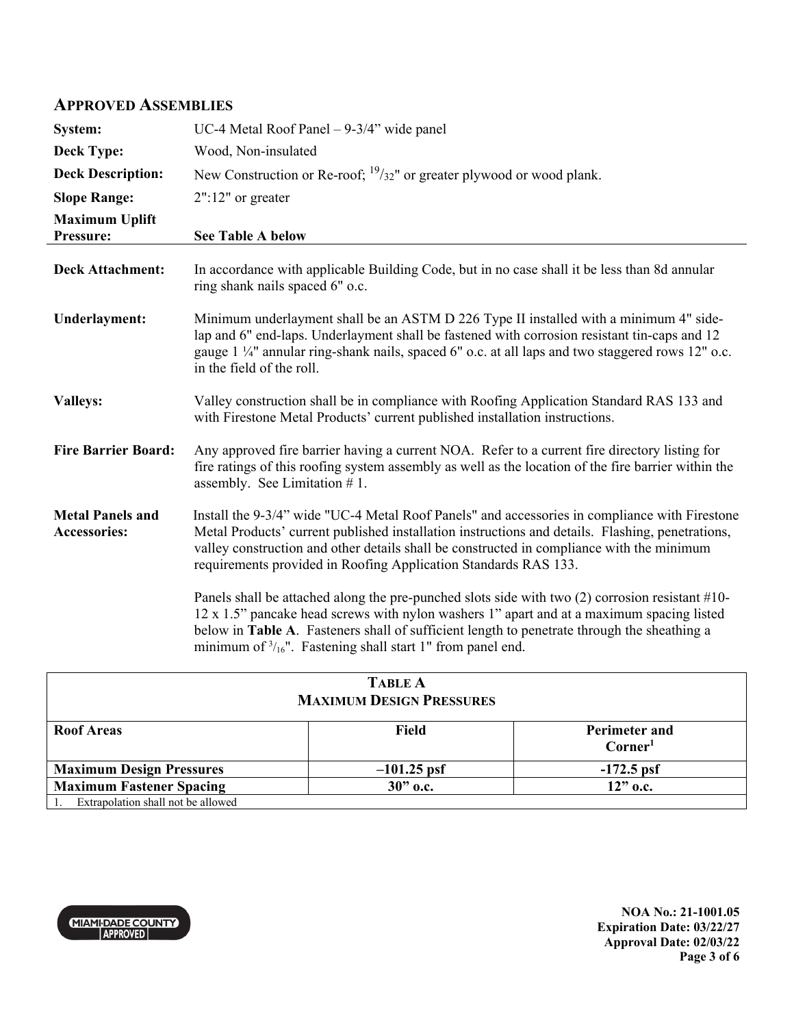#### **APPROVED ASSEMBLIES**

| System:                                        | UC-4 Metal Roof Panel $-9-3/4$ " wide panel                                                                                                                                                                                                                                                                                                                            |
|------------------------------------------------|------------------------------------------------------------------------------------------------------------------------------------------------------------------------------------------------------------------------------------------------------------------------------------------------------------------------------------------------------------------------|
| <b>Deck Type:</b>                              | Wood, Non-insulated                                                                                                                                                                                                                                                                                                                                                    |
| <b>Deck Description:</b>                       | New Construction or Re-roof; $\frac{19}{32}$ " or greater plywood or wood plank.                                                                                                                                                                                                                                                                                       |
| <b>Slope Range:</b>                            | $2"$ :12" or greater                                                                                                                                                                                                                                                                                                                                                   |
| <b>Maximum Uplift</b><br>Pressure:             | <b>See Table A below</b>                                                                                                                                                                                                                                                                                                                                               |
| <b>Deck Attachment:</b>                        | In accordance with applicable Building Code, but in no case shall it be less than 8d annular<br>ring shank nails spaced 6" o.c.                                                                                                                                                                                                                                        |
| <b>Underlayment:</b>                           | Minimum underlayment shall be an ASTM D 226 Type II installed with a minimum 4" side-<br>lap and 6" end-laps. Underlayment shall be fastened with corrosion resistant tin-caps and 12<br>gauge $1\frac{1}{4}$ " annular ring-shank nails, spaced 6" o.c. at all laps and two staggered rows 12" o.c.<br>in the field of the roll.                                      |
| <b>Valleys:</b>                                | Valley construction shall be in compliance with Roofing Application Standard RAS 133 and<br>with Firestone Metal Products' current published installation instructions.                                                                                                                                                                                                |
| <b>Fire Barrier Board:</b>                     | Any approved fire barrier having a current NOA. Refer to a current fire directory listing for<br>fire ratings of this roofing system assembly as well as the location of the fire barrier within the<br>assembly. See Limitation #1.                                                                                                                                   |
| <b>Metal Panels and</b><br><b>Accessories:</b> | Install the 9-3/4" wide "UC-4 Metal Roof Panels" and accessories in compliance with Firestone<br>Metal Products' current published installation instructions and details. Flashing, penetrations,<br>valley construction and other details shall be constructed in compliance with the minimum<br>requirements provided in Roofing Application Standards RAS 133.      |
|                                                | Panels shall be attached along the pre-punched slots side with two $(2)$ corrosion resistant #10-<br>12 x 1.5" pancake head screws with nylon washers 1" apart and at a maximum spacing listed<br>below in Table A. Fasteners shall of sufficient length to penetrate through the sheathing a<br>minimum of $\frac{3}{16}$ ". Fastening shall start 1" from panel end. |
|                                                |                                                                                                                                                                                                                                                                                                                                                                        |

| <b>TABLE A</b><br><b>MAXIMUM DESIGN PRESSURES</b> |               |                                             |  |
|---------------------------------------------------|---------------|---------------------------------------------|--|
| <b>Roof Areas</b>                                 | Field         | <b>Perimeter and</b><br>Corner <sup>1</sup> |  |
| <b>Maximum Design Pressures</b>                   | $-101.25$ psf | $-172.5$ psf                                |  |
| <b>Maximum Fastener Spacing</b>                   | $30"$ o.c.    | $12"$ o.c.                                  |  |
| Extrapolation shall not be allowed                |               |                                             |  |



**NOA No.: 21-1001.05 Expiration Date: 03/22/27 Approval Date: 02/03/22 Page 3 of 6**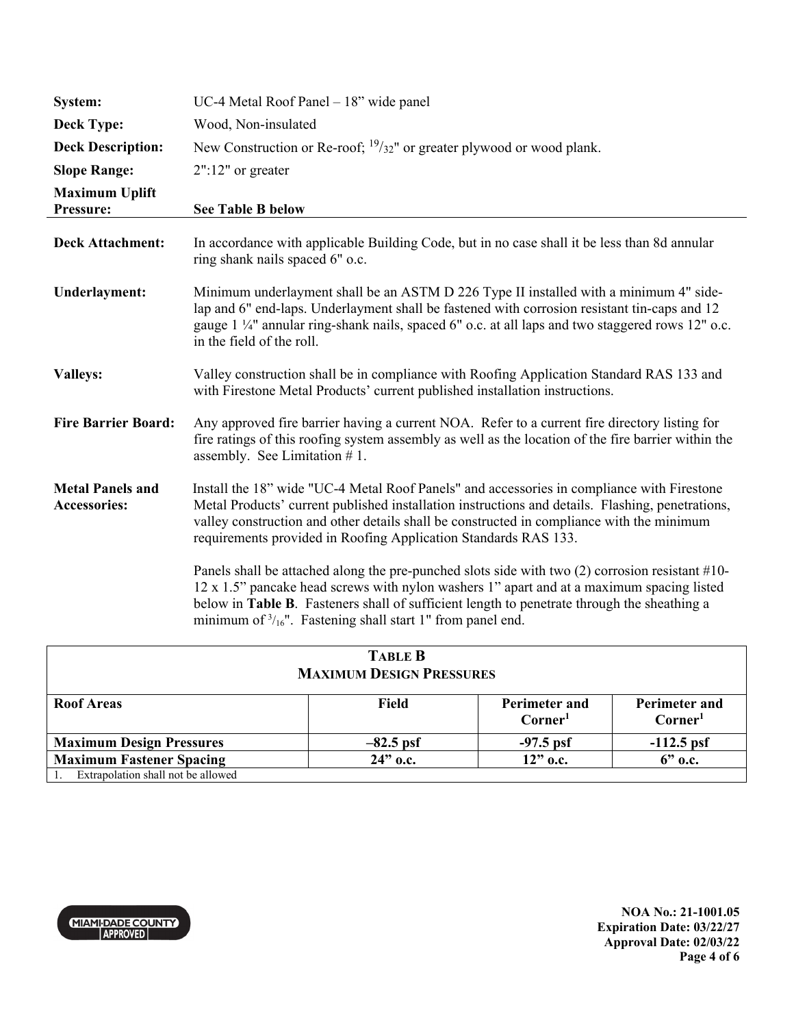| System:                                        | UC-4 Metal Roof Panel $-18$ " wide panel                                                                                                                                                                                                                                                                                                                             |
|------------------------------------------------|----------------------------------------------------------------------------------------------------------------------------------------------------------------------------------------------------------------------------------------------------------------------------------------------------------------------------------------------------------------------|
| <b>Deck Type:</b>                              | Wood, Non-insulated                                                                                                                                                                                                                                                                                                                                                  |
| <b>Deck Description:</b>                       | New Construction or Re-roof; $\frac{19}{32}$ " or greater plywood or wood plank.                                                                                                                                                                                                                                                                                     |
| <b>Slope Range:</b>                            | $2"$ :12" or greater                                                                                                                                                                                                                                                                                                                                                 |
| <b>Maximum Uplift</b><br>Pressure:             | <b>See Table B below</b>                                                                                                                                                                                                                                                                                                                                             |
| <b>Deck Attachment:</b>                        | In accordance with applicable Building Code, but in no case shall it be less than 8d annular<br>ring shank nails spaced 6" o.c.                                                                                                                                                                                                                                      |
| <b>Underlayment:</b>                           | Minimum underlayment shall be an ASTM D 226 Type II installed with a minimum 4" side-<br>lap and 6" end-laps. Underlayment shall be fastened with corrosion resistant tin-caps and 12<br>gauge 1 1/4" annular ring-shank nails, spaced 6" o.c. at all laps and two staggered rows 12" o.c.<br>in the field of the roll.                                              |
| <b>Valleys:</b>                                | Valley construction shall be in compliance with Roofing Application Standard RAS 133 and<br>with Firestone Metal Products' current published installation instructions.                                                                                                                                                                                              |
| <b>Fire Barrier Board:</b>                     | Any approved fire barrier having a current NOA. Refer to a current fire directory listing for<br>fire ratings of this roofing system assembly as well as the location of the fire barrier within the<br>assembly. See Limitation #1.                                                                                                                                 |
| <b>Metal Panels and</b><br><b>Accessories:</b> | Install the 18" wide "UC-4 Metal Roof Panels" and accessories in compliance with Firestone<br>Metal Products' current published installation instructions and details. Flashing, penetrations,<br>valley construction and other details shall be constructed in compliance with the minimum<br>requirements provided in Roofing Application Standards RAS 133.       |
|                                                | Panels shall be attached along the pre-punched slots side with two (2) corrosion resistant #10-<br>12 x 1.5" pancake head screws with nylon washers 1" apart and at a maximum spacing listed<br>below in Table B. Fasteners shall of sufficient length to penetrate through the sheathing a<br>minimum of $\frac{3}{16}$ ". Fastening shall start 1" from panel end. |

| <b>TABLE B</b><br><b>MAXIMUM DESIGN PRESSURES</b> |             |                                       |                                             |
|---------------------------------------------------|-------------|---------------------------------------|---------------------------------------------|
| <b>Roof Areas</b>                                 | Field       | <b>Perimeter and</b><br>$\rm Corner1$ | <b>Perimeter and</b><br>Corner <sup>1</sup> |
| <b>Maximum Design Pressures</b>                   | $-82.5$ psf | $-97.5$ psf                           | $-112.5$ psf                                |
| <b>Maximum Fastener Spacing</b>                   | $24"$ o.c.  | $12"$ o.c.                            | $6"$ o.c.                                   |
| Extrapolation shall not be allowed                |             |                                       |                                             |



**NOA No.: 21-1001.05 Expiration Date: 03/22/27 Approval Date: 02/03/22 Page 4 of 6**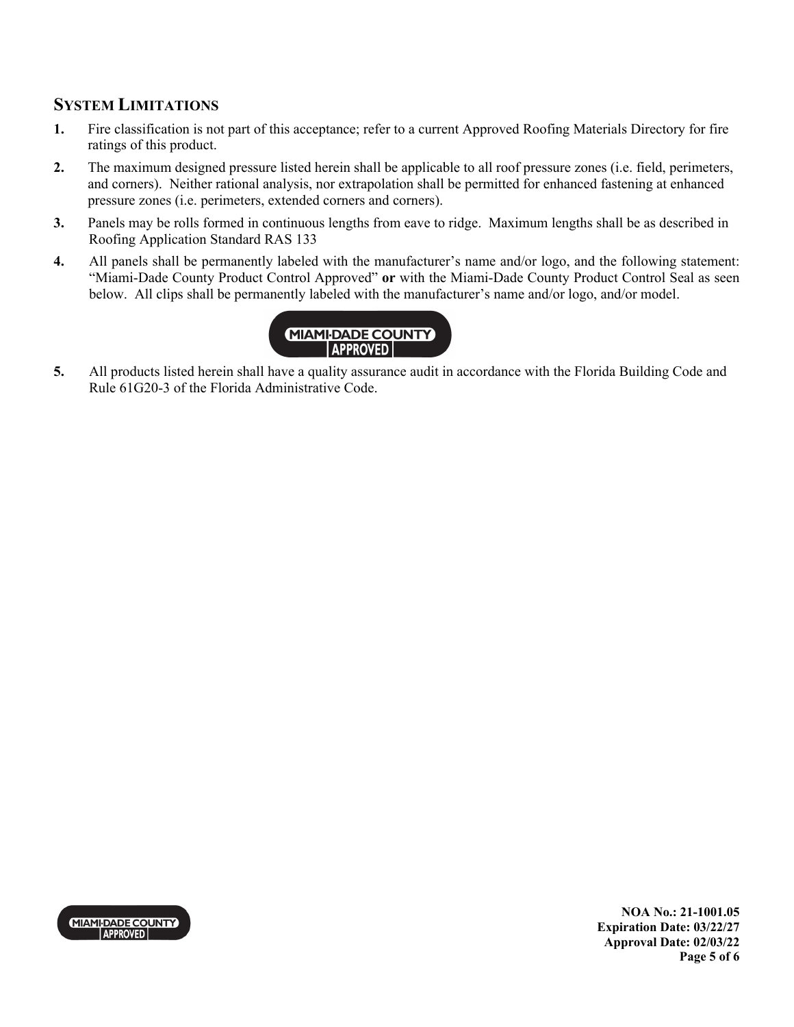### **SYSTEM LIMITATIONS**

- **1.** Fire classification is not part of this acceptance; refer to a current Approved Roofing Materials Directory for fire ratings of this product.
- **2.** The maximum designed pressure listed herein shall be applicable to all roof pressure zones (i.e. field, perimeters, and corners). Neither rational analysis, nor extrapolation shall be permitted for enhanced fastening at enhanced pressure zones (i.e. perimeters, extended corners and corners).
- **3.** Panels may be rolls formed in continuous lengths from eave to ridge. Maximum lengths shall be as described in Roofing Application Standard RAS 133
- **4.** All panels shall be permanently labeled with the manufacturer's name and/or logo, and the following statement: "Miami-Dade County Product Control Approved" **or** with the Miami-Dade County Product Control Seal as seen below. All clips shall be permanently labeled with the manufacturer's name and/or logo, and/or model.



**5.** All products listed herein shall have a quality assurance audit in accordance with the Florida Building Code and Rule 61G20-3 of the Florida Administrative Code.